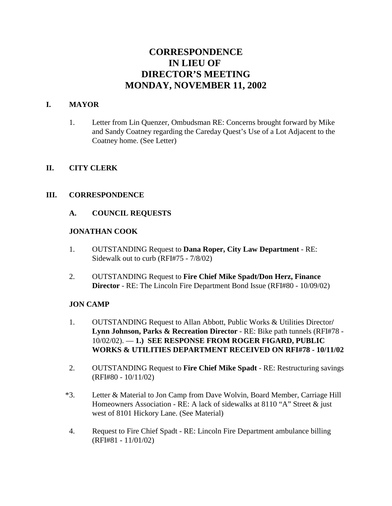# **CORRESPONDENCE IN LIEU OF DIRECTOR'S MEETING MONDAY, NOVEMBER 11, 2002**

### **I. MAYOR**

1. Letter from Lin Quenzer, Ombudsman RE: Concerns brought forward by Mike and Sandy Coatney regarding the Careday Quest's Use of a Lot Adjacent to the Coatney home. (See Letter)

### **II. CITY CLERK**

### **III. CORRESPONDENCE**

### **A. COUNCIL REQUESTS**

#### **JONATHAN COOK**

- 1. OUTSTANDING Request to **Dana Roper, City Law Department** RE: Sidewalk out to curb (RFI#75 - 7/8/02)
- 2. OUTSTANDING Request to **Fire Chief Mike Spadt/Don Herz, Finance Director** - RE: The Lincoln Fire Department Bond Issue (RFI#80 - 10/09/02)

### **JON CAMP**

- 1. OUTSTANDING Request to Allan Abbott, Public Works & Utilities Director**/ Lynn Johnson, Parks & Recreation Director** - RE: Bike path tunnels (RFI#78 - 10/02/02). — **1.) SEE RESPONSE FROM ROGER FIGARD, PUBLIC WORKS & UTILITIES DEPARTMENT RECEIVED ON RFI#78 - 10/11/02**
- 2. OUTSTANDING Request to **Fire Chief Mike Spadt** RE: Restructuring savings (RFI#80 - 10/11/02)
- \*3. Letter & Material to Jon Camp from Dave Wolvin, Board Member, Carriage Hill Homeowners Association - RE: A lack of sidewalks at 8110 "A" Street & just west of 8101 Hickory Lane. (See Material)
- 4. Request to Fire Chief Spadt RE: Lincoln Fire Department ambulance billing (RFI#81 - 11/01/02)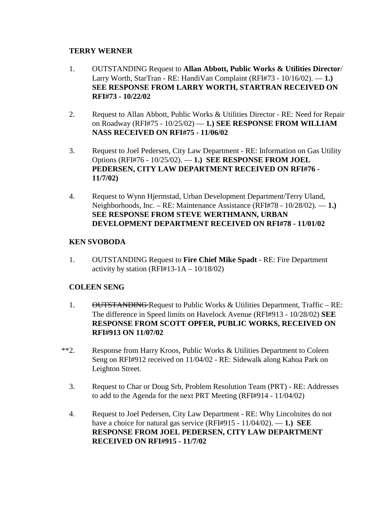#### **TERRY WERNER**

- 1. OUTSTANDING Request to **Allan Abbott, Public Works & Utilities Director**/ Larry Worth, StarTran - RE: HandiVan Complaint (RFI#73 - 10/16/02). — **1.) SEE RESPONSE FROM LARRY WORTH, STARTRAN RECEIVED ON RFI#73 - 10/22/02**
- 2. Request to Allan Abbott, Public Works & Utilities Director RE: Need for Repair on Roadway (RFI#75 - 10/25/02) — **1.) SEE RESPONSE FROM WILLIAM NASS RECEIVED ON RFI#75 - 11/06/02**
- 3. Request to Joel Pedersen, City Law Department RE: Information on Gas Utility Options (RFI#76 - 10/25/02). — **1.) SEE RESPONSE FROM JOEL PEDERSEN, CITY LAW DEPARTMENT RECEIVED ON RFI#76 - 11/7/02)**
- 4. Request to Wynn Hjermstad, Urban Development Department/Terry Uland, Neighborhoods, Inc. – RE: Maintenance Assistance (RFI#78 - 10/28/02). — **1.) SEE RESPONSE FROM STEVE WERTHMANN, URBAN DEVELOPMENT DEPARTMENT RECEIVED ON RFI#78 - 11/01/02**

### **KEN SVOBODA**

1. OUTSTANDING Request to **Fire Chief Mike Spadt** - RE: Fire Department activity by station  $(RFI#13-1A - 10/18/02)$ 

### **COLEEN SENG**

- 1. OUTSTANDING Request to Public Works & Utilities Department, Traffic RE: The difference in Speed limits on Havelock Avenue (RFI#913 - 10/28/02) **SEE RESPONSE FROM SCOTT OPFER, PUBLIC WORKS, RECEIVED ON RFI#913 ON 11/07/02**
- \*\*2. Response from Harry Kroos, Public Works & Utilities Department to Coleen Seng on RFI#912 received on 11/04/02 - RE: Sidewalk along Kahoa Park on Leighton Street.
	- 3. Request to Char or Doug Srb, Problem Resolution Team (PRT) RE: Addresses to add to the Agenda for the next PRT Meeting (RFI#914 - 11/04/02)
	- 4. Request to Joel Pedersen, City Law Department RE: Why Lincolnites do not have a choice for natural gas service (RFI#915 - 11/04/02). — **1.) SEE RESPONSE FROM JOEL PEDERSEN, CITY LAW DEPARTMENT RECEIVED ON RFI#915 - 11/7/02**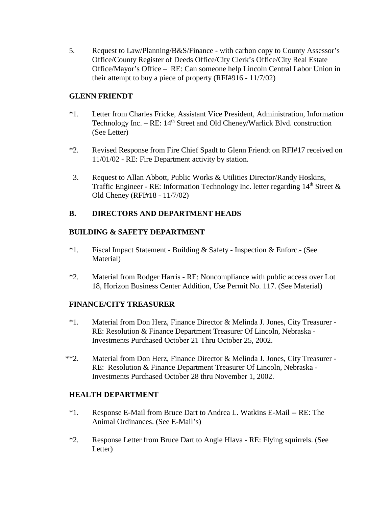5. Request to Law/Planning/B&S/Finance - with carbon copy to County Assessor's Office/County Register of Deeds Office/City Clerk's Office/City Real Estate Office/Mayor's Office – RE: Can someone help Lincoln Central Labor Union in their attempt to buy a piece of property (RFI#916 - 11/7/02)

### **GLENN FRIENDT**

- \*1. Letter from Charles Fricke, Assistant Vice President, Administration, Information Technology Inc. –  $RE: 14<sup>th</sup> Street and Old Cheney/Warlick Blvd. construction$ (See Letter)
- \*2. Revised Response from Fire Chief Spadt to Glenn Friendt on RFI#17 received on 11/01/02 - RE: Fire Department activity by station.
- 3. Request to Allan Abbott, Public Works & Utilities Director/Randy Hoskins, Traffic Engineer - RE: Information Technology Inc. letter regarding  $14<sup>th</sup>$  Street  $\&$ Old Cheney (RFI#18 - 11/7/02)

## **B. DIRECTORS AND DEPARTMENT HEADS**

## **BUILDING & SAFETY DEPARTMENT**

- \*1. Fiscal Impact Statement Building & Safety Inspection & Enforc.- (See Material)
- \*2. Material from Rodger Harris RE: Noncompliance with public access over Lot 18, Horizon Business Center Addition, Use Permit No. 117. (See Material)

# **FINANCE/CITY TREASURER**

- \*1. Material from Don Herz, Finance Director & Melinda J. Jones, City Treasurer RE: Resolution & Finance Department Treasurer Of Lincoln, Nebraska - Investments Purchased October 21 Thru October 25, 2002.
- \*\*2. Material from Don Herz, Finance Director & Melinda J. Jones, City Treasurer RE: Resolution & Finance Department Treasurer Of Lincoln, Nebraska - Investments Purchased October 28 thru November 1, 2002.

# **HEALTH DEPARTMENT**

- \*1. Response E-Mail from Bruce Dart to Andrea L. Watkins E-Mail -- RE: The Animal Ordinances. (See E-Mail's)
- \*2. Response Letter from Bruce Dart to Angie Hlava RE: Flying squirrels. (See Letter)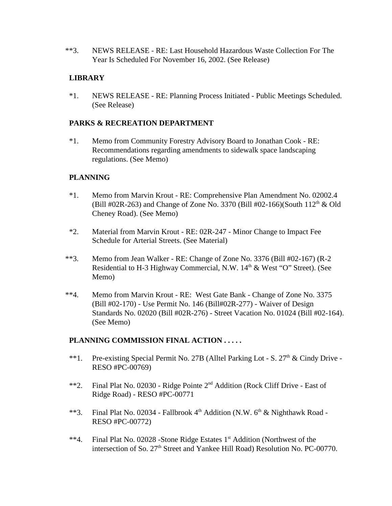\*\*3. NEWS RELEASE - RE: Last Household Hazardous Waste Collection For The Year Is Scheduled For November 16, 2002. (See Release)

# **LIBRARY**

\*1. NEWS RELEASE - RE: Planning Process Initiated - Public Meetings Scheduled. (See Release)

# **PARKS & RECREATION DEPARTMENT**

\*1. Memo from Community Forestry Advisory Board to Jonathan Cook - RE: Recommendations regarding amendments to sidewalk space landscaping regulations. (See Memo)

## **PLANNING**

- \*1. Memo from Marvin Krout RE: Comprehensive Plan Amendment No. 02002.4 (Bill #02R-263) and Change of Zone No. 3370 (Bill #02-166)(South  $112<sup>th</sup>$  & Old Cheney Road). (See Memo)
- \*2. Material from Marvin Krout RE: 02R-247 Minor Change to Impact Fee Schedule for Arterial Streets. (See Material)
- \*\*3. Memo from Jean Walker RE: Change of Zone No. 3376 (Bill #02-167) (R-2 Residential to H-3 Highway Commercial, N.W. 14<sup>th</sup> & West "O" Street). (See Memo)
- \*\*4. Memo from Marvin Krout RE: West Gate Bank Change of Zone No. 3375 (Bill #02-170) - Use Permit No. 146 (Bill#02R-277) - Waiver of Design Standards No. 02020 (Bill #02R-276) - Street Vacation No. 01024 (Bill #02-164). (See Memo)

### **PLANNING COMMISSION FINAL ACTION . . . . .**

- \*\*1. Pre-existing Special Permit No. 27B (Alltel Parking Lot S.  $27<sup>th</sup>$  & Cindy Drive -RESO #PC-00769)
- \*\*2. Final Plat No. 02030 Ridge Pointe 2nd Addition (Rock Cliff Drive East of Ridge Road) - RESO #PC-00771
- \*\*3. Final Plat No. 02034 Fallbrook  $4<sup>th</sup>$  Addition (N.W.  $6<sup>th</sup>$  & Nighthawk Road -RESO #PC-00772)
- \*\*4. Final Plat No. 02028 -Stone Ridge Estates 1<sup>st</sup> Addition (Northwest of the intersection of So. 27<sup>th</sup> Street and Yankee Hill Road) Resolution No. PC-00770.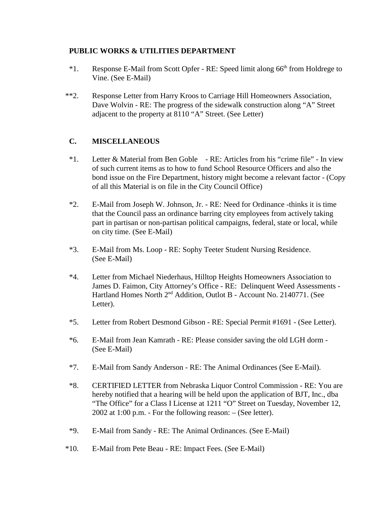### **PUBLIC WORKS & UTILITIES DEPARTMENT**

- <sup>\*1</sup>. Response E-Mail from Scott Opfer RE: Speed limit along 66<sup>th</sup> from Holdrege to Vine. (See E-Mail)
- \*\*2. Response Letter from Harry Kroos to Carriage Hill Homeowners Association, Dave Wolvin - RE: The progress of the sidewalk construction along "A" Street adjacent to the property at 8110 "A" Street. (See Letter)

## **C. MISCELLANEOUS**

- \*1. Letter & Material from Ben Goble RE: Articles from his "crime file" In view of such current items as to how to fund School Resource Officers and also the bond issue on the Fire Department, history might become a relevant factor - (Copy of all this Material is on file in the City Council Office)
- \*2. E-Mail from Joseph W. Johnson, Jr. RE: Need for Ordinance -thinks it is time that the Council pass an ordinance barring city employees from actively taking part in partisan or non-partisan political campaigns, federal, state or local, while on city time. (See E-Mail)
- \*3. E-Mail from Ms. Loop RE: Sophy Teeter Student Nursing Residence. (See E-Mail)
- \*4. Letter from Michael Niederhaus, Hilltop Heights Homeowners Association to James D. Faimon, City Attorney's Office - RE: Delinquent Weed Assessments - Hartland Homes North 2<sup>nd</sup> Addition, Outlot B - Account No. 2140771. (See Letter).
- \*5. Letter from Robert Desmond Gibson RE: Special Permit #1691 (See Letter).
- \*6. E-Mail from Jean Kamrath RE: Please consider saving the old LGH dorm (See E-Mail)
- \*7. E-Mail from Sandy Anderson RE: The Animal Ordinances (See E-Mail).
- \*8. CERTIFIED LETTER from Nebraska Liquor Control Commission RE: You are hereby notified that a hearing will be held upon the application of BJT, Inc., dba "The Office" for a Class I License at 1211 "O" Street on Tuesday, November 12, 2002 at 1:00 p.m. - For the following reason: – (See letter).
- \*9. E-Mail from Sandy RE: The Animal Ordinances. (See E-Mail)
- \*10. E-Mail from Pete Beau RE: Impact Fees. (See E-Mail)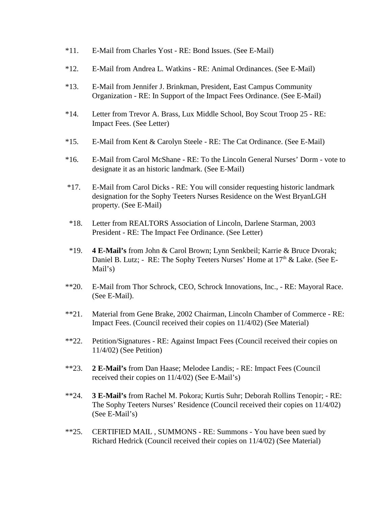- \*11. E-Mail from Charles Yost RE: Bond Issues. (See E-Mail)
- \*12. E-Mail from Andrea L. Watkins RE: Animal Ordinances. (See E-Mail)
- \*13. E-Mail from Jennifer J. Brinkman, President, East Campus Community Organization - RE: In Support of the Impact Fees Ordinance. (See E-Mail)
- \*14. Letter from Trevor A. Brass, Lux Middle School, Boy Scout Troop 25 RE: Impact Fees. (See Letter)
- \*15. E-Mail from Kent & Carolyn Steele RE: The Cat Ordinance. (See E-Mail)
- \*16. E-Mail from Carol McShane RE: To the Lincoln General Nurses' Dorm vote to designate it as an historic landmark. (See E-Mail)
- \*17. E-Mail from Carol Dicks RE: You will consider requesting historic landmark designation for the Sophy Teeters Nurses Residence on the West BryanLGH property. (See E-Mail)
- \*18. Letter from REALTORS Association of Lincoln, Darlene Starman, 2003 President - RE: The Impact Fee Ordinance. (See Letter)
- \*19. **4 E-Mail's** from John & Carol Brown; Lynn Senkbeil; Karrie & Bruce Dvorak; Daniel B. Lutz; - RE: The Sophy Teeters Nurses' Home at 17<sup>th</sup> & Lake. (See E-Mail's)
- \*\*20. E-Mail from Thor Schrock, CEO, Schrock Innovations, Inc., RE: Mayoral Race. (See E-Mail).
- \*\*21. Material from Gene Brake, 2002 Chairman, Lincoln Chamber of Commerce RE: Impact Fees. (Council received their copies on 11/4/02) (See Material)
- \*\*22. Petition/Signatures RE: Against Impact Fees (Council received their copies on 11/4/02) (See Petition)
- \*\*23. **2 E-Mail's** from Dan Haase; Melodee Landis; RE: Impact Fees (Council received their copies on 11/4/02) (See E-Mail's)
- \*\*24. **3 E-Mail's** from Rachel M. Pokora; Kurtis Suhr; Deborah Rollins Tenopir; RE: The Sophy Teeters Nurses' Residence (Council received their copies on 11/4/02) (See E-Mail's)
- \*\*25. CERTIFIED MAIL , SUMMONS RE: Summons You have been sued by Richard Hedrick (Council received their copies on 11/4/02) (See Material)